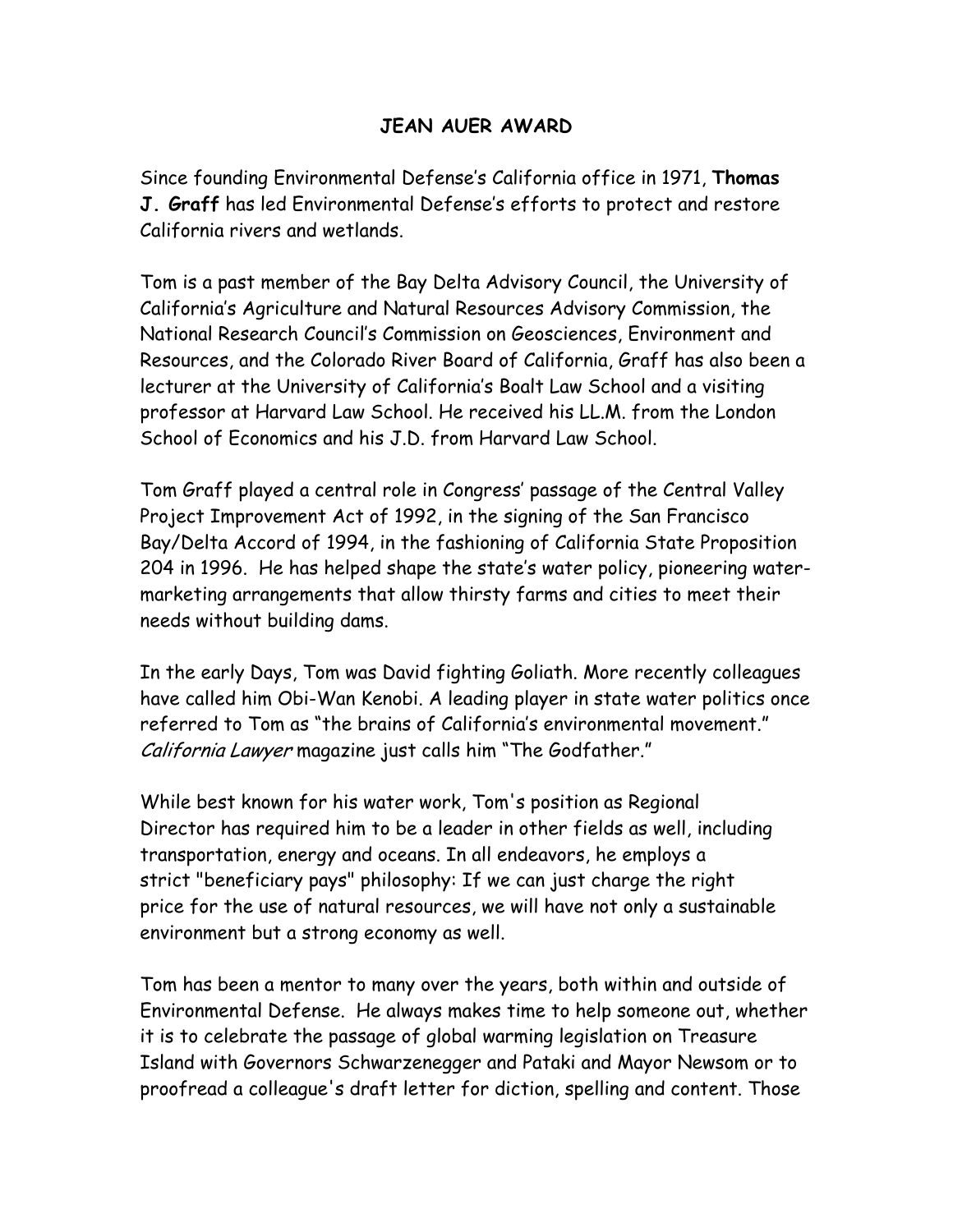## **JEAN AUER AWARD**

Since founding Environmental Defense's California office in 1971, **Thomas J. Graff** has led Environmental Defense's efforts to protect and restore California rivers and wetlands.

Tom is a past member of the Bay Delta Advisory Council, the University of California's Agriculture and Natural Resources Advisory Commission, the National Research Council's Commission on Geosciences, Environment and Resources, and the Colorado River Board of California, Graff has also been a lecturer at the University of California's Boalt Law School and a visiting professor at Harvard Law School. He received his LL.M. from the London School of Economics and his J.D. from Harvard Law School.

Tom Graff played a central role in Congress' passage of the Central Valley Project Improvement Act of 1992, in the signing of the San Francisco Bay/Delta Accord of 1994, in the fashioning of California State Proposition 204 in 1996. He has helped shape the state's water policy, pioneering watermarketing arrangements that allow thirsty farms and cities to meet their needs without building dams.

In the early Days, Tom was David fighting Goliath. More recently colleagues have called him Obi-Wan Kenobi. A leading player in state water politics once referred to Tom as "the brains of California's environmental movement." California Lawyer magazine just calls him "The Godfather."

While best known for his water work, Tom's position as Regional Director has required him to be a leader in other fields as well, including transportation, energy and oceans. In all endeavors, he employs a strict "beneficiary pays" philosophy: If we can just charge the right price for the use of natural resources, we will have not only a sustainable environment but a strong economy as well.

Tom has been a mentor to many over the years, both within and outside of Environmental Defense. He always makes time to help someone out, whether it is to celebrate the passage of global warming legislation on Treasure Island with Governors Schwarzenegger and Pataki and Mayor Newsom or to proofread a colleague's draft letter for diction, spelling and content. Those